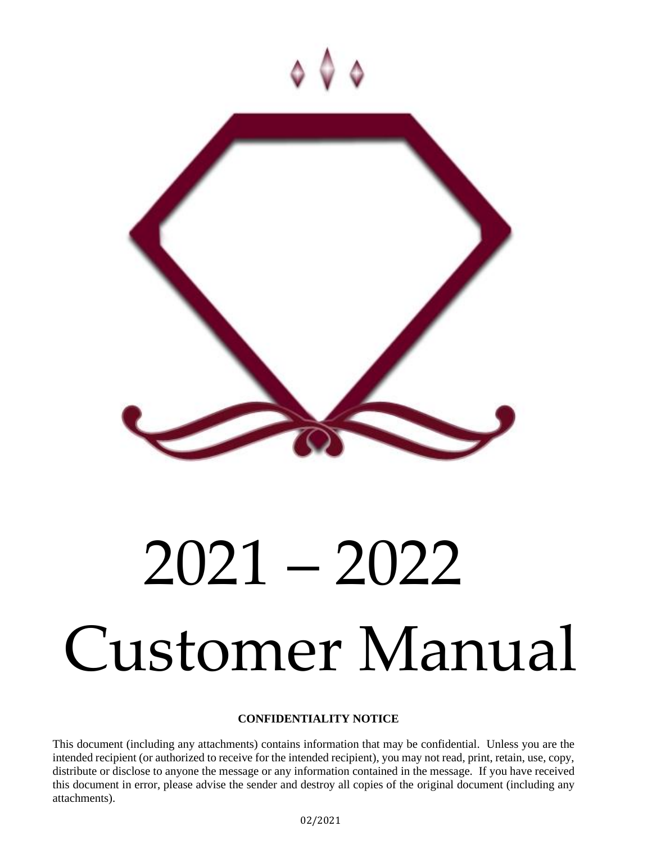

# 2021 – 2022 Customer Manual

# **CONFIDENTIALITY NOTICE**

This document (including any attachments) contains information that may be confidential. Unless you are the intended recipient (or authorized to receive for the intended recipient), you may not read, print, retain, use, copy, distribute or disclose to anyone the message or any information contained in the message. If you have received this document in error, please advise the sender and destroy all copies of the original document (including any attachments).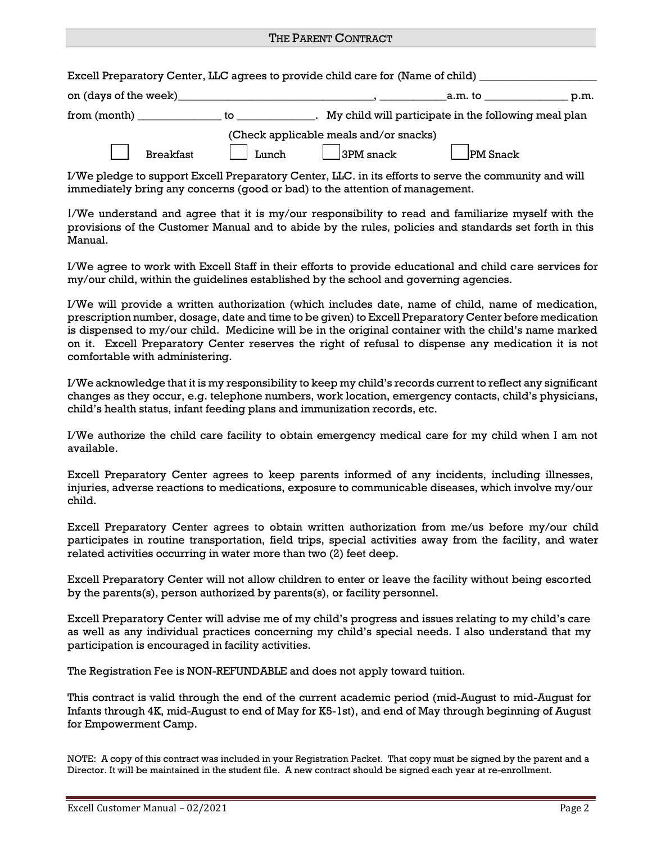#### THE PARENT CONTRACT

|  | Excell Preparatory Center, LLC agrees to provide child care for (Name of child) |  |
|--|---------------------------------------------------------------------------------|--|
|  |                                                                                 |  |

| on (days of the week) |       | .am. to<br>p.m.                                      |
|-----------------------|-------|------------------------------------------------------|
| from (month)          | to.   | My child will participate in the following meal plan |
|                       |       | (Check applicable meals and/or snacks)               |
| <b>Breakfast</b>      | Lunch | 3PM snack<br><b>PM</b> Snack                         |

I/We pledge to support Excell Preparatory Center, LLC. in its efforts to serve the community and will immediately bring any concerns (good or bad) to the attention of management.

I/We understand and agree that it is my/our responsibility to read and familiarize myself with the provisions of the Customer Manual and to abide by the rules, policies and standards set forth in this Manual.

I/We agree to work with Excell Staff in their efforts to provide educational and child care services for my/our child, within the guidelines established by the school and governing agencies.

I/We will provide a written authorization (which includes date, name of child, name of medication, prescription number, dosage, date and time to be given) to Excell Preparatory Center before medication is dispensed to my/our child. Medicine will be in the original container with the child's name marked on it. Excell Preparatory Center reserves the right of refusal to dispense any medication it is not comfortable with administering.

I/We acknowledge that it is my responsibility to keep my child's records current to reflect any significant changes as they occur, e.g. telephone numbers, work location, emergency contacts, child's physicians, child's health status, infant feeding plans and immunization records, etc.

I/We authorize the child care facility to obtain emergency medical care for my child when I am not available.

Excell Preparatory Center agrees to keep parents informed of any incidents, including illnesses, injuries, adverse reactions to medications, exposure to communicable diseases, which involve my/our child.

Excell Preparatory Center agrees to obtain written authorization from me/us before my/our child participates in routine transportation, field trips, special activities away from the facility, and water related activities occurring in water more than two (2) feet deep.

Excell Preparatory Center will not allow children to enter or leave the facility without being escorted by the parents(s), person authorized by parents(s), or facility personnel.

Excell Preparatory Center will advise me of my child's progress and issues relating to my child's care as well as any individual practices concerning my child's special needs. I also understand that my participation is encouraged in facility activities.

The Registration Fee is NON-REFUNDABLE and does not apply toward tuition.

This contract is valid through the end of the current academic period (mid-August to mid-August for Infants through 4K, mid-August to end of May for K5-1st), and end of May through beginning of August for Empowerment Camp.

NOTE: A copy of this contract was included in your Registration Packet. That copy must be signed by the parent and a Director. It will be maintained in the student file. A new contract should be signed each year at re-enrollment.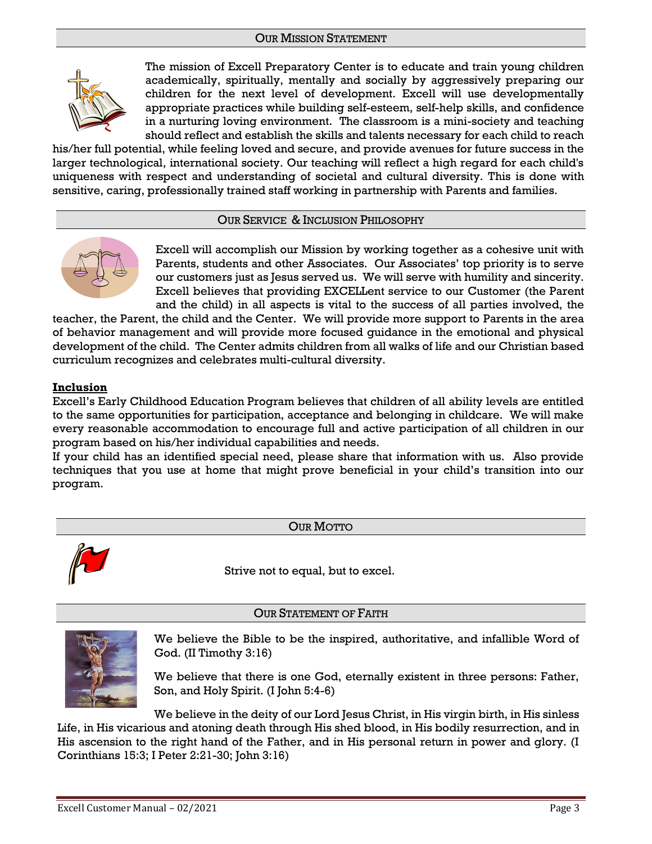# OUR MISSION STATEMENT



The mission of Excell Preparatory Center is to educate and train young children academically, spiritually, mentally and socially by aggressively preparing our children for the next level of development. Excell will use developmentally appropriate practices while building self-esteem, self-help skills, and confidence in a nurturing loving environment. The classroom is a mini-society and teaching should reflect and establish the skills and talents necessary for each child to reach

his/her full potential, while feeling loved and secure, and provide avenues for future success in the larger technological, international society. Our teaching will reflect a high regard for each child's uniqueness with respect and understanding of societal and cultural diversity. This is done with sensitive, caring, professionally trained staff working in partnership with Parents and families.

# OUR SERVICE & INCLUSION PHILOSOPHY



Excell will accomplish our Mission by working together as a cohesive unit with Parents, students and other Associates. Our Associates' top priority is to serve our customers just as Jesus served us. We will serve with humility and sincerity. Excell believes that providing EXCELLent service to our Customer (the Parent and the child) in all aspects is vital to the success of all parties involved, the

teacher, the Parent, the child and the Center. We will provide more support to Parents in the area of behavior management and will provide more focused guidance in the emotional and physical development of the child. The Center admits children from all walks of life and our Christian based curriculum recognizes and celebrates multi-cultural diversity.

# **Inclusion**

Excell's Early Childhood Education Program believes that children of all ability levels are entitled to the same opportunities for participation, acceptance and belonging in childcare. We will make every reasonable accommodation to encourage full and active participation of all children in our program based on his/her individual capabilities and needs.

If your child has an identified special need, please share that information with us. Also provide techniques that you use at home that might prove beneficial in your child's transition into our program.

OUR MOTTO



Strive not to equal, but to excel.

# OUR STATEMENT OF FAITH



We believe the Bible to be the inspired, authoritative, and infallible Word of God. (II Timothy 3:16)

We believe that there is one God, eternally existent in three persons: Father, Son, and Holy Spirit. (I John 5:4-6)

We believe in the deity of our Lord Jesus Christ, in His virgin birth, in His sinless Life, in His vicarious and atoning death through His shed blood, in His bodily resurrection, and in His ascension to the right hand of the Father, and in His personal return in power and glory. (I Corinthians 15:3; I Peter 2:21-30; John 3:16)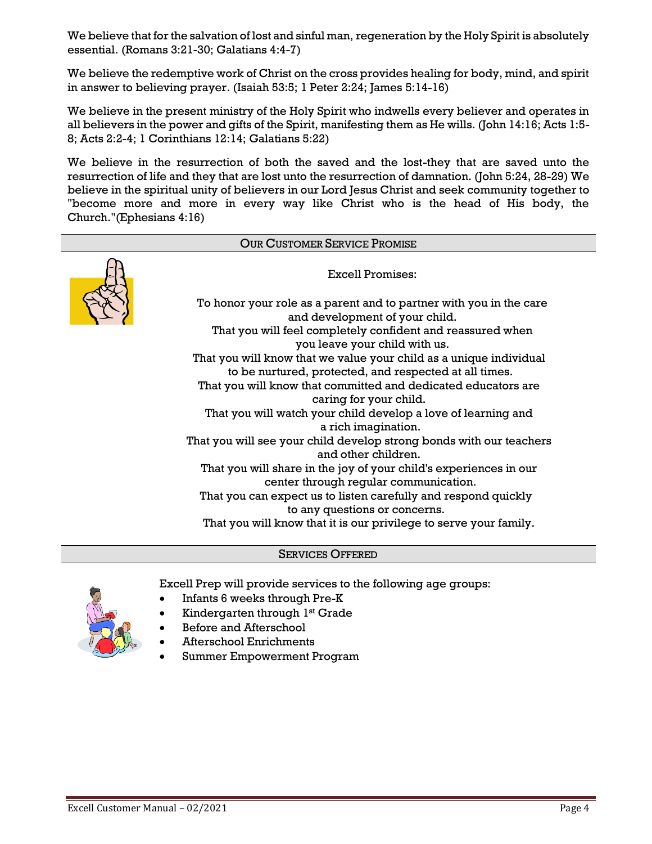We believe that for the salvation of lost and sinful man, regeneration by the Holy Spirit is absolutely essential. (Romans 3:21-30; Galatians 4:4-7)

We believe the redemptive work of Christ on the cross provides healing for body, mind, and spirit in answer to believing prayer. (Isaiah 53:5; 1 Peter 2:24; James 5:14-16)

We believe in the present ministry of the Holy Spirit who indwells every believer and operates in all believers in the power and gifts of the Spirit, manifesting them as He wills. (John 14:16; Acts 1:5- 8; Acts 2:2-4; 1 Corinthians 12:14; Galatians 5:22)

We believe in the resurrection of both the saved and the lost-they that are saved unto the resurrection of life and they that are lost unto the resurrection of damnation. (John 5:24, 28-29) We believe in the spiritual unity of believers in our Lord Jesus Christ and seek community together to "become more and more in every way like Christ who is the head of His body, the Church."(Ephesians 4:16)



# SERVICES OFFERED



Excell Prep will provide services to the following age groups:

- Infants 6 weeks through Pre-K
- Kindergarten through 1<sup>st</sup> Grade
- Before and Afterschool
- Afterschool Enrichments
- Summer Empowerment Program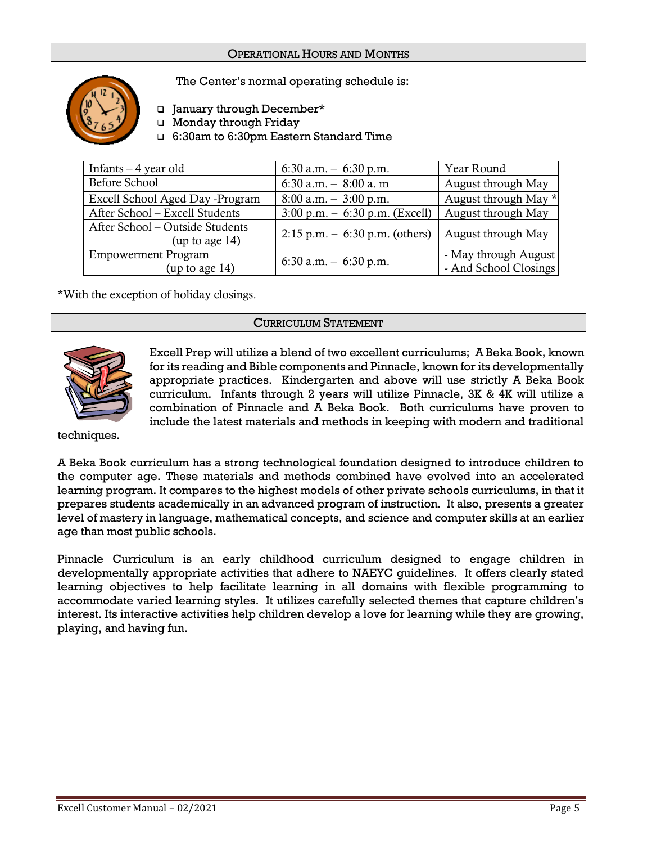# OPERATIONAL HOURS AND MONTHS



The Center's normal operating schedule is:

- ❑ January through December\*
- ❑ Monday through Friday

❑ 6:30am to 6:30pm Eastern Standard Time

| Infants $-4$ year old                                | 6:30 a.m. $-$ 6:30 p.m.                          | Year Round                                    |
|------------------------------------------------------|--------------------------------------------------|-----------------------------------------------|
| Before School                                        | 6:30 a.m. $-8:00$ a.m                            | August through May                            |
| Excell School Aged Day -Program                      | $8:00$ a.m. $-3:00$ p.m.                         | August through May *                          |
| After School - Excell Students                       | $3:00 \text{ p.m.} - 6:30 \text{ p.m.}$ (Excell) | August through May                            |
| After School - Outside Students<br>(up to age $14$ ) | $2:15$ p.m. $-6:30$ p.m. (others)                | August through May                            |
| <b>Empowerment Program</b><br>(up to age $14$ )      | 6:30 a.m. $-$ 6:30 p.m.                          | - May through August<br>- And School Closings |

\*With the exception of holiday closings.

# CURRICULUM STATEMENT



Excell Prep will utilize a blend of two excellent curriculums; A Beka Book, known for its reading and Bible components and Pinnacle, known for its developmentally appropriate practices. Kindergarten and above will use strictly A Beka Book curriculum. Infants through 2 years will utilize Pinnacle, 3K & 4K will utilize a combination of Pinnacle and A Beka Book. Both curriculums have proven to include the latest materials and methods in keeping with modern and traditional

techniques.

A Beka Book curriculum has a strong technological foundation designed to introduce children to the computer age. These materials and methods combined have evolved into an accelerated learning program. It compares to the highest models of other private schools curriculums, in that it prepares students academically in an advanced program of instruction. It also, presents a greater level of mastery in language, mathematical concepts, and science and computer skills at an earlier age than most public schools.

Pinnacle Curriculum is an early childhood curriculum designed to engage children in developmentally appropriate activities that adhere to NAEYC guidelines. It offers clearly stated learning objectives to help facilitate learning in all domains with flexible programming to accommodate varied learning styles. It utilizes carefully selected themes that capture children's interest. Its interactive activities help children develop a love for learning while they are growing, playing, and having fun.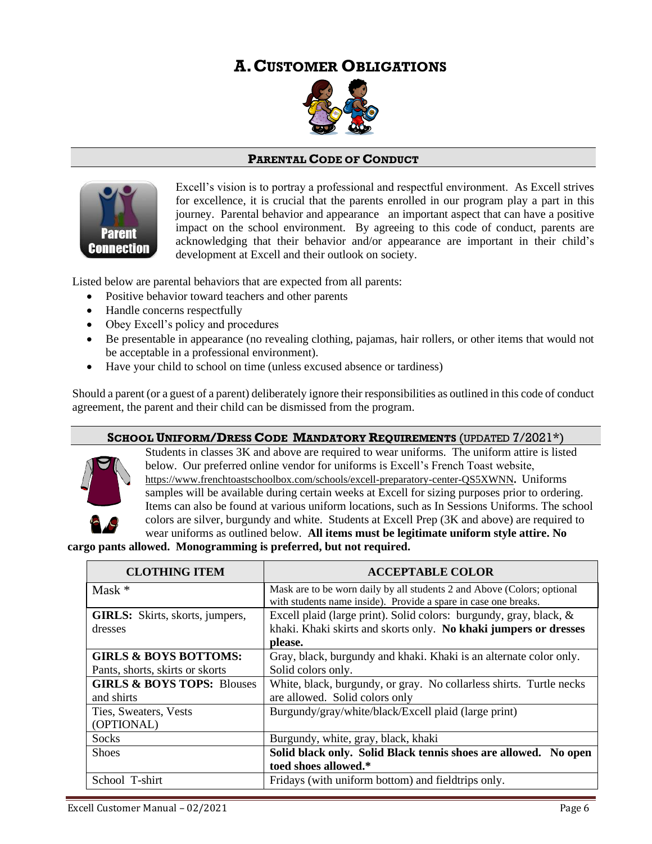# **A.CUSTOMER OBLIGATIONS**



# **PARENTAL CODE OF CONDUCT**



Excell's vision is to portray a professional and respectful environment. As Excell strives for excellence, it is crucial that the parents enrolled in our program play a part in this journey. Parental behavior and appearance an important aspect that can have a positive impact on the school environment. By agreeing to this code of conduct, parents are acknowledging that their behavior and/or appearance are important in their child's development at Excell and their outlook on society.

Listed below are parental behaviors that are expected from all parents:

- Positive behavior toward teachers and other parents
- Handle concerns respectfully
- Obey Excell's policy and procedures
- Be presentable in appearance (no revealing clothing, pajamas, hair rollers, or other items that would not be acceptable in a professional environment).
- Have your child to school on time (unless excused absence or tardiness)

Should a parent (or a guest of a parent) deliberately ignore their responsibilities as outlined in this code of conduct agreement, the parent and their child can be dismissed from the program.

# **SCHOOL UNIFORM/DRESS CODE MANDATORY REQUIREMENTS** (UPDATED 7/2021\*)



Students in classes 3K and above are required to wear uniforms. The uniform attire is listed below. Our preferred online vendor for uniforms is Excell's French Toast website, <https://www.frenchtoastschoolbox.com/schools/excell-preparatory-center-QS5XWNN>**.** Uniforms samples will be available during certain weeks at Excell for sizing purposes prior to ordering. Items can also be found at various uniform locations, such as In Sessions Uniforms. The school colors are silver, burgundy and white. Students at Excell Prep (3K and above) are required to wear uniforms as outlined below. **All items must be legitimate uniform style attire. No** 

**cargo pants allowed. Monogramming is preferred, but not required.**

| <b>CLOTHING ITEM</b>                   | <b>ACCEPTABLE COLOR</b>                                                                                                                    |  |
|----------------------------------------|--------------------------------------------------------------------------------------------------------------------------------------------|--|
| Mask $*$                               | Mask are to be worn daily by all students 2 and Above (Colors; optional<br>with students name inside). Provide a spare in case one breaks. |  |
| <b>GIRLS:</b> Skirts, skorts, jumpers, | Excell plaid (large print). Solid colors: burgundy, gray, black, &                                                                         |  |
| dresses                                | khaki. Khaki skirts and skorts only. No khaki jumpers or dresses                                                                           |  |
|                                        | please.                                                                                                                                    |  |
| <b>GIRLS &amp; BOYS BOTTOMS:</b>       | Gray, black, burgundy and khaki. Khaki is an alternate color only.                                                                         |  |
| Pants, shorts, skirts or skorts        | Solid colors only.                                                                                                                         |  |
| <b>GIRLS &amp; BOYS TOPS: Blouses</b>  | White, black, burgundy, or gray. No collarless shirts. Turtle necks                                                                        |  |
| and shirts                             | are allowed. Solid colors only                                                                                                             |  |
| Ties, Sweaters, Vests                  | Burgundy/gray/white/black/Excell plaid (large print)                                                                                       |  |
| (OPTIONAL)                             |                                                                                                                                            |  |
| <b>Socks</b>                           | Burgundy, white, gray, black, khaki                                                                                                        |  |
| <b>Shoes</b>                           | Solid black only. Solid Black tennis shoes are allowed. No open                                                                            |  |
|                                        | toed shoes allowed.*                                                                                                                       |  |
| School T-shirt                         | Fridays (with uniform bottom) and field trips only.                                                                                        |  |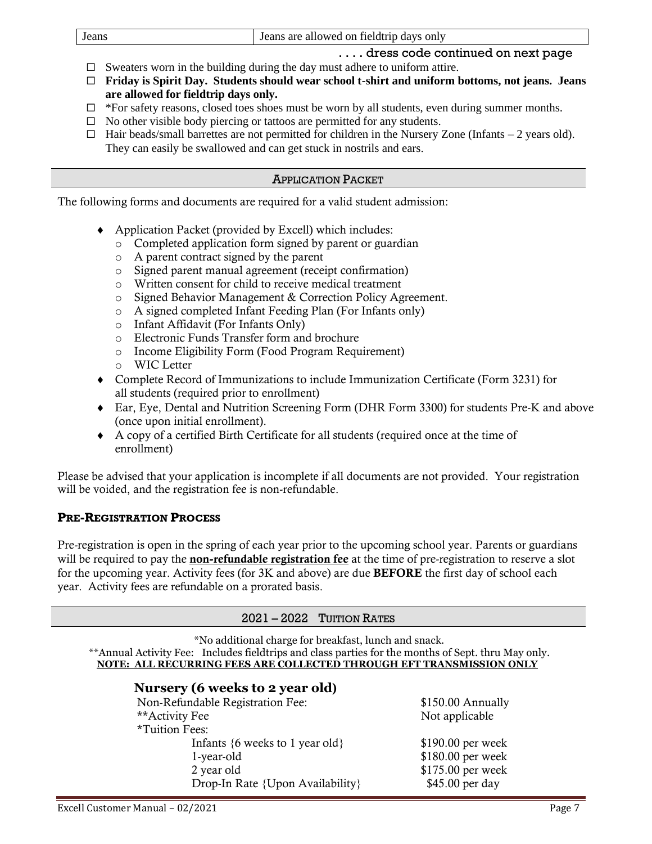| Jeans | Jeans are allowed on field trip days only |
|-------|-------------------------------------------|
|       |                                           |

- . . . . dress code continued on next page
- $\Box$  Sweaters worn in the building during the day must adhere to uniform attire.
- **Friday is Spirit Day. Students should wear school t-shirt and uniform bottoms, not jeans. Jeans are allowed for fieldtrip days only.**
- $\Box$  \*For safety reasons, closed toes shoes must be worn by all students, even during summer months.
- $\Box$  No other visible body piercing or tattoos are permitted for any students.
- $\Box$  Hair beads/small barrettes are not permitted for children in the Nursery Zone (Infants 2 years old). They can easily be swallowed and can get stuck in nostrils and ears.

# APPLICATION PACKET

The following forms and documents are required for a valid student admission:

- Application Packet (provided by Excell) which includes:
	- o Completed application form signed by parent or guardian
	- o A parent contract signed by the parent
	- o Signed parent manual agreement (receipt confirmation)
	- o Written consent for child to receive medical treatment
	- o Signed Behavior Management & Correction Policy Agreement.
	- o A signed completed Infant Feeding Plan (For Infants only)
	- o Infant Affidavit (For Infants Only)
	- o Electronic Funds Transfer form and brochure
	- o Income Eligibility Form (Food Program Requirement)
	- o WIC Letter
- Complete Record of Immunizations to include Immunization Certificate (Form 3231) for all students (required prior to enrollment)
- Ear, Eye, Dental and Nutrition Screening Form (DHR Form 3300) for students Pre-K and above (once upon initial enrollment).
- A copy of a certified Birth Certificate for all students (required once at the time of enrollment)

Please be advised that your application is incomplete if all documents are not provided. Your registration will be voided, and the registration fee is non-refundable.

# **PRE-REGISTRATION PROCESS**

Pre-registration is open in the spring of each year prior to the upcoming school year. Parents or guardians will be required to pay the **non-refundable registration fee** at the time of pre-registration to reserve a slot for the upcoming year. Activity fees (for 3K and above) are due BEFORE the first day of school each year. Activity fees are refundable on a prorated basis.

# 2021 – 2022 TUITION RATES

\*No additional charge for breakfast, lunch and snack.

\*\*Annual Activity Fee: Includes fieldtrips and class parties for the months of Sept. thru May only. **NOTE: ALL RECURRING FEES ARE COLLECTED THROUGH EFT TRANSMISSION ONLY**

# **Nursery (6 weeks to 2 year old**)

| Non-Refundable Registration Fee:                     | \$150.00 Annually |
|------------------------------------------------------|-------------------|
| **Activity Fee                                       | Not applicable    |
| *Tuition Fees:                                       |                   |
| Infants $\{6 \text{ weeks to } 1 \text{ year old}\}$ | \$190.00 per week |
| 1-year-old                                           | \$180.00 per week |
| 2 year old                                           | \$175.00 per week |
| Drop-In Rate {Upon Availability}                     | \$45.00 per day   |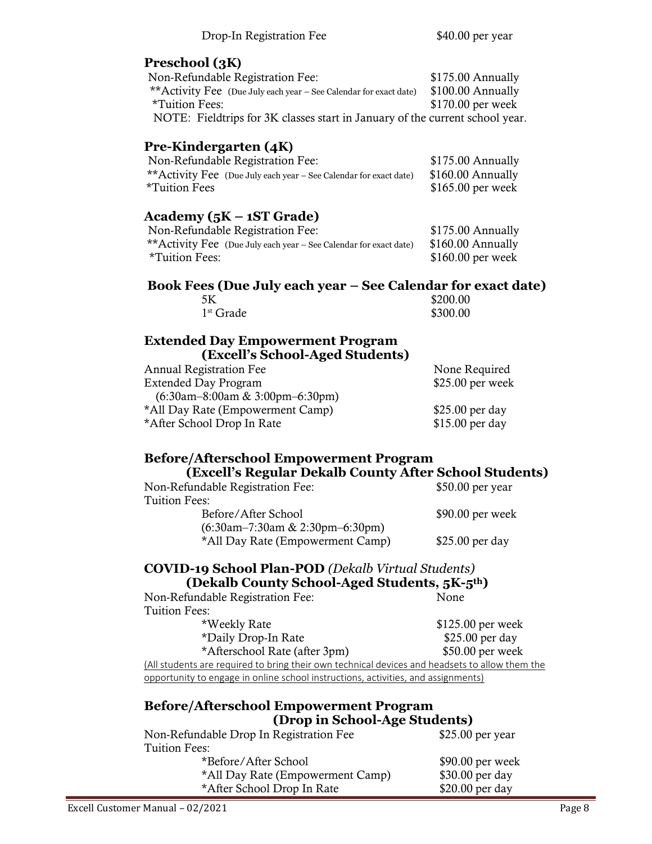# **Preschool (3K**)

| Non-Refundable Registration Fee:                                             | \$175.00 Annually  |
|------------------------------------------------------------------------------|--------------------|
| ** Activity Fee (Due July each year – See Calendar for exact date)           | $$100.00$ Annually |
| *Tuition Fees:                                                               | \$170.00 per week  |
| NOTE: Fieldtrips for 3K classes start in January of the current school year. |                    |

# **Pre-Kindergarten (4K**)

| Non-Refundable Registration Fee:                                   | \$175.00 Annually  |
|--------------------------------------------------------------------|--------------------|
| ** Activity Fee (Due July each year – See Calendar for exact date) | \$160.00 Annually  |
| *Tuition Fees                                                      | $$165.00$ per week |

# **Academy (5K – 1ST Grade)**

| Non-Refundable Registration Fee:                                   | $$175.00$ Annually |
|--------------------------------------------------------------------|--------------------|
| ** Activity Fee (Due July each year – See Calendar for exact date) | $$160.00$ Annually |
| *Tuition Fees:                                                     | $$160.00$ per week |
|                                                                    |                    |

# **Book Fees (Due July each year – See Calendar for exact date)**

| 5K          | \$200.00 |
|-------------|----------|
| $1st$ Grade | \$300.00 |

# **Extended Day Empowerment Program (Excell's School-Aged Students)**

| <b>Annual Registration Fee</b>     | None Required     |
|------------------------------------|-------------------|
| <b>Extended Day Program</b>        | $$25.00$ per week |
| $(6:30am-8:00am \& 3:00pm-6:30pm)$ |                   |
| *All Day Rate (Empowerment Camp)   | $$25.00$ per day  |
| *After School Drop In Rate         | \$15.00 per day   |
|                                    |                   |

# **Before/Afterschool Empowerment Program**

| (Excell's Regular Dekalb County After School Students)                 |                   |
|------------------------------------------------------------------------|-------------------|
| Non-Refundable Registration Fee:                                       | $$50.00$ per year |
| Tuition Fees:                                                          |                   |
| Before/After School                                                    | $$90.00$ per week |
| $(6:30am-7:30am \& 2:30pm-6:30pm)$<br>*All Day Rate (Empowerment Camp) | $$25.00$ per day  |

# **COVID-19 School Plan-POD** *(Dekalb Virtual Students)*  **(Dekalb County School-Aged Students, 5K-5th)**

| Non-Refundable Registration Fee:                                                               | None              |  |  |
|------------------------------------------------------------------------------------------------|-------------------|--|--|
| Tuition Fees:                                                                                  |                   |  |  |
| *Weekly Rate                                                                                   | \$125.00 per week |  |  |
| *Daily Drop-In Rate                                                                            | \$25.00 per day   |  |  |
| *Afterschool Rate (after 3pm)                                                                  | \$50.00 per week  |  |  |
| (All students are required to bring their own technical devices and headsets to allow them the |                   |  |  |
| opportunity to engage in online school instructions, activities, and assignments)              |                   |  |  |

# **Before/Afterschool Empowerment Program (Drop in School-Age Students)**

| $\sim$ 200 $\mu$ and $\sim$ 0.000 $\mu$ and 0.000 $\mu$ . The contract of $\mu$ |                   |  |
|---------------------------------------------------------------------------------|-------------------|--|
| Non-Refundable Drop In Registration Fee                                         | $$25.00$ per year |  |
| Tuition Fees:                                                                   |                   |  |
| *Before/After School                                                            | \$90.00 per week  |  |
| *All Day Rate (Empowerment Camp)                                                | \$30.00 per day   |  |
| *After School Drop In Rate                                                      | \$20.00 per day   |  |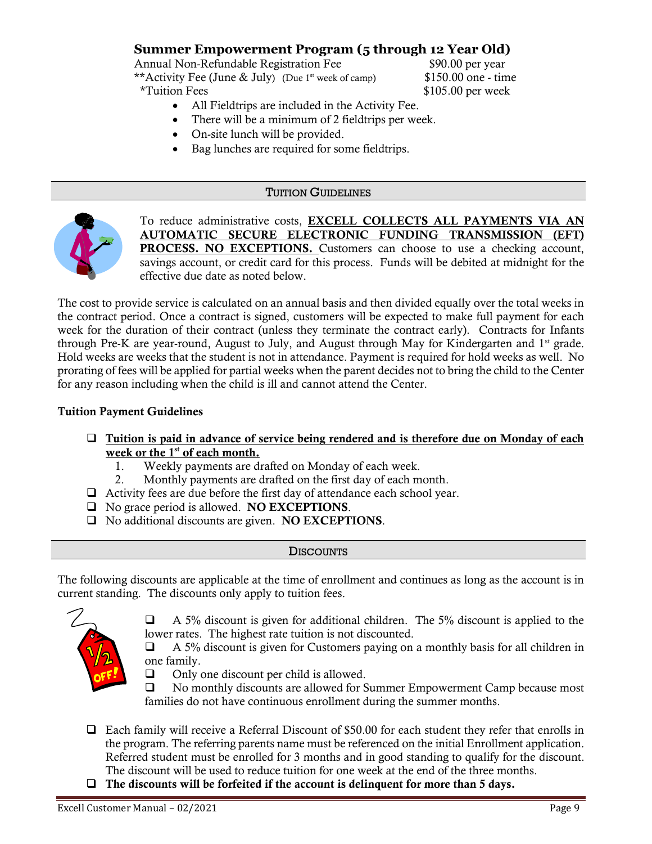# **Summer Empowerment Program (5 through 12 Year Old)**

Annual Non-Refundable Registration Fee  $$90.00$  per year \*\*Activity Fee (June & July) (Due 1<sup>st</sup> week of camp) \$150.00 one - time \*Tuition Fees \$105.00 per week

- All Fieldtrips are included in the Activity Fee.
- There will be a minimum of 2 fieldtrips per week.
- On-site lunch will be provided.
- Bag lunches are required for some fieldtrips.

# TUITION GUIDELINES



To reduce administrative costs, EXCELL COLLECTS ALL PAYMENTS VIA AN AUTOMATIC SECURE ELECTRONIC FUNDING TRANSMISSION (EFT) PROCESS. NO EXCEPTIONS. Customers can choose to use a checking account, savings account, or credit card for this process. Funds will be debited at midnight for the effective due date as noted below.

The cost to provide service is calculated on an annual basis and then divided equally over the total weeks in the contract period. Once a contract is signed, customers will be expected to make full payment for each week for the duration of their contract (unless they terminate the contract early). Contracts for Infants through Pre-K are year-round, August to July, and August through May for Kindergarten and 1<sup>st</sup> grade. Hold weeks are weeks that the student is not in attendance. Payment is required for hold weeks as well. No prorating of fees will be applied for partial weeks when the parent decides not to bring the child to the Center for any reason including when the child is ill and cannot attend the Center.

# Tuition Payment Guidelines

- □ Tuition is paid in advance of service being rendered and is therefore due on Monday of each week or the  $1<sup>st</sup>$  of each month.
	- 1. Weekly payments are drafted on Monday of each week.
	- 2. Monthly payments are drafted on the first day of each month.
- ❑ Activity fees are due before the first day of attendance each school year.
- □ No grace period is allowed. NO EXCEPTIONS.
- □ No additional discounts are given. NO EXCEPTIONS.

# **DISCOUNTS**

The following discounts are applicable at the time of enrollment and continues as long as the account is in current standing. The discounts only apply to tuition fees.



❑ A 5% discount is given for additional children. The 5% discount is applied to the lower rates. The highest rate tuition is not discounted.

❑ A 5% discount is given for Customers paying on a monthly basis for all children in one family.

❑ Only one discount per child is allowed.

❑ No monthly discounts are allowed for Summer Empowerment Camp because most families do not have continuous enrollment during the summer months.

- ❑ Each family will receive a Referral Discount of \$50.00 for each student they refer that enrolls in the program. The referring parents name must be referenced on the initial Enrollment application. Referred student must be enrolled for 3 months and in good standing to qualify for the discount. The discount will be used to reduce tuition for one week at the end of the three months.
- $\Box$  The discounts will be forfeited if the account is delinguent for more than 5 days.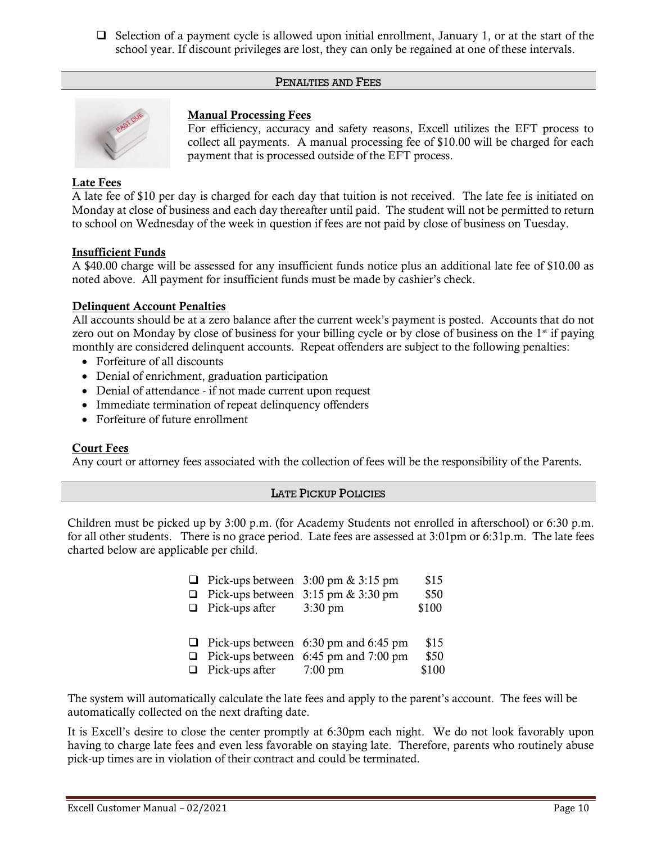❑ Selection of a payment cycle is allowed upon initial enrollment, January 1, or at the start of the school year. If discount privileges are lost, they can only be regained at one of these intervals.

# PENALTIES AND FEES



# Manual Processing Fees

For efficiency, accuracy and safety reasons, Excell utilizes the EFT process to collect all payments. A manual processing fee of \$10.00 will be charged for each payment that is processed outside of the EFT process.

# Late Fees

A late fee of \$10 per day is charged for each day that tuition is not received. The late fee is initiated on Monday at close of business and each day thereafter until paid. The student will not be permitted to return to school on Wednesday of the week in question if fees are not paid by close of business on Tuesday.

# Insufficient Funds

A \$40.00 charge will be assessed for any insufficient funds notice plus an additional late fee of \$10.00 as noted above. All payment for insufficient funds must be made by cashier's check.

# Delinquent Account Penalties

All accounts should be at a zero balance after the current week's payment is posted. Accounts that do not zero out on Monday by close of business for your billing cycle or by close of business on the 1<sup>st</sup> if paying monthly are considered delinquent accounts. Repeat offenders are subject to the following penalties:

- Forfeiture of all discounts
- Denial of enrichment, graduation participation
- Denial of attendance if not made current upon request
- Immediate termination of repeat delinquency offenders
- Forfeiture of future enrollment

# Court Fees

Any court or attorney fees associated with the collection of fees will be the responsibility of the Parents.

# LATE PICKUP POLICIES

Children must be picked up by 3:00 p.m. (for Academy Students not enrolled in afterschool) or 6:30 p.m. for all other students. There is no grace period. Late fees are assessed at 3:01pm or 6:31p.m. The late fees charted below are applicable per child.

|                               | <b>D</b> Pick-ups between $3:00 \text{ pm } \& 3:15 \text{ pm}$ | \$15  |
|-------------------------------|-----------------------------------------------------------------|-------|
|                               | $\Box$ Pick-ups between 3:15 pm & 3:30 pm                       | \$50  |
| $\Box$ Pick-ups after         | $3:30 \text{ pm}$                                               | \$100 |
|                               |                                                                 |       |
|                               | $\Box$ Pick-ups between 6:30 pm and 6:45 pm                     | \$15  |
|                               | $\Box$ Pick-ups between 6:45 pm and 7:00 pm                     | \$50  |
| $\Box$ Pick-ups after 7:00 pm |                                                                 | \$100 |

The system will automatically calculate the late fees and apply to the parent's account. The fees will be automatically collected on the next drafting date.

It is Excell's desire to close the center promptly at 6:30pm each night. We do not look favorably upon having to charge late fees and even less favorable on staying late. Therefore, parents who routinely abuse pick-up times are in violation of their contract and could be terminated.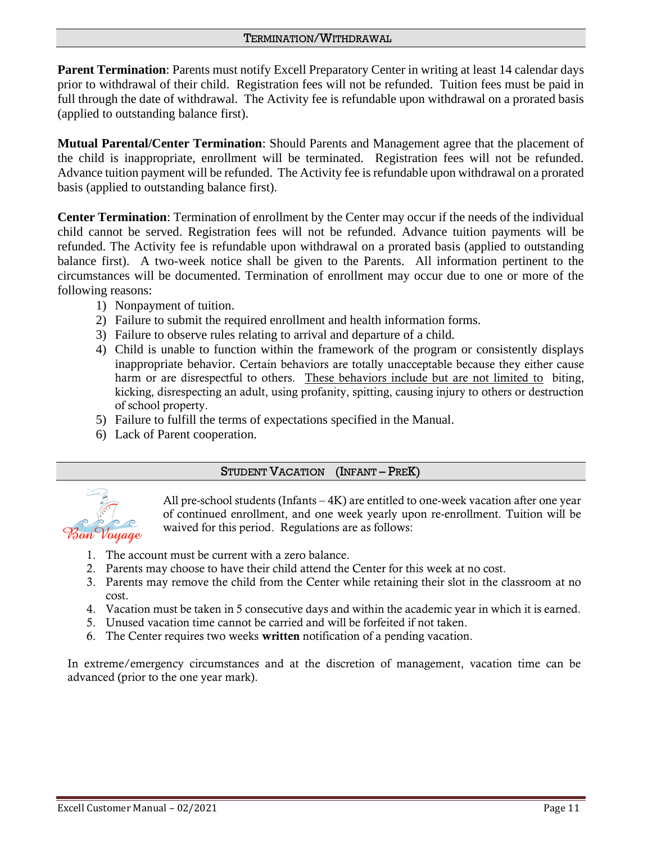# TERMINATION/WITHDRAWAL

**Parent Termination**: Parents must notify Excell Preparatory Center in writing at least 14 calendar days prior to withdrawal of their child. Registration fees will not be refunded. Tuition fees must be paid in full through the date of withdrawal. The Activity fee is refundable upon withdrawal on a prorated basis (applied to outstanding balance first).

**Mutual Parental/Center Termination**: Should Parents and Management agree that the placement of the child is inappropriate, enrollment will be terminated. Registration fees will not be refunded. Advance tuition payment will be refunded. The Activity fee is refundable upon withdrawal on a prorated basis (applied to outstanding balance first).

**Center Termination**: Termination of enrollment by the Center may occur if the needs of the individual child cannot be served. Registration fees will not be refunded. Advance tuition payments will be refunded. The Activity fee is refundable upon withdrawal on a prorated basis (applied to outstanding balance first). A two-week notice shall be given to the Parents. All information pertinent to the circumstances will be documented. Termination of enrollment may occur due to one or more of the following reasons:

- 1) Nonpayment of tuition.
- 2) Failure to submit the required enrollment and health information forms.
- 3) Failure to observe rules relating to arrival and departure of a child.
- 4) Child is unable to function within the framework of the program or consistently displays inappropriate behavior. Certain behaviors are totally unacceptable because they either cause harm or are disrespectful to others. These behaviors include but are not limited to biting, kicking, disrespecting an adult, using profanity, spitting, causing injury to others or destruction of school property.
- 5) Failure to fulfill the terms of expectations specified in the Manual.
- 6) Lack of Parent cooperation.

# STUDENT VACATION (INFANT – PREK)



All pre-school students (Infants – 4K) are entitled to one-week vacation after one year of continued enrollment, and one week yearly upon re-enrollment. Tuition will be waived for this period. Regulations are as follows:

- 1. The account must be current with a zero balance.
- 2. Parents may choose to have their child attend the Center for this week at no cost.
- 3. Parents may remove the child from the Center while retaining their slot in the classroom at no cost.
- 4. Vacation must be taken in 5 consecutive days and within the academic year in which it is earned.
- 5. Unused vacation time cannot be carried and will be forfeited if not taken.
- 6. The Center requires two weeks written notification of a pending vacation.

In extreme/emergency circumstances and at the discretion of management, vacation time can be advanced (prior to the one year mark).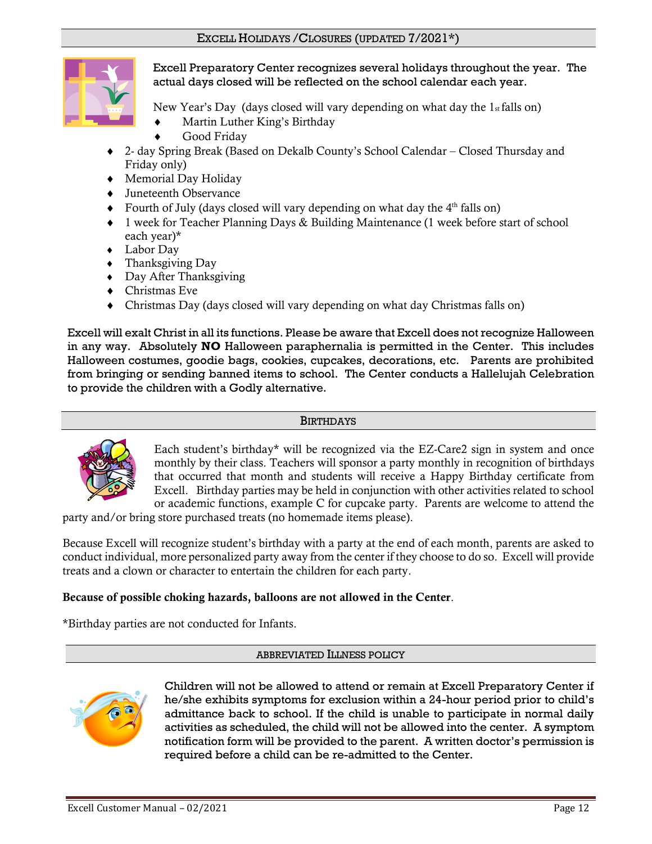

Excell Preparatory Center recognizes several holidays throughout the year. The actual days closed will be reflected on the school calendar each year.

New Year's Day (days closed will vary depending on what day the  $1_{st}$  falls on)

- Martin Luther King's Birthday
- Good Friday
- 2- day Spring Break (Based on Dekalb County's School Calendar Closed Thursday and Friday only)
- Memorial Day Holiday
- Juneteenth Observance
- $\bullet$  Fourth of July (days closed will vary depending on what day the  $4<sup>th</sup>$  falls on)
- 1 week for Teacher Planning Days & Building Maintenance (1 week before start of school each year)\*
- Labor Day
- Thanksgiving Day
- Day After Thanksgiving
- Christmas Eve
- Christmas Day (days closed will vary depending on what day Christmas falls on)

Excell will exalt Christ in all its functions. Please be aware that Excell does not recognize Halloween in any way. Absolutely **NO** Halloween paraphernalia is permitted in the Center. This includes Halloween costumes, goodie bags, cookies, cupcakes, decorations, etc. Parents are prohibited from bringing or sending banned items to school. The Center conducts a Hallelujah Celebration to provide the children with a Godly alternative.

# **BIRTHDAYS**



Each student's birthday\* will be recognized via the EZ-Care2 sign in system and once monthly by their class. Teachers will sponsor a party monthly in recognition of birthdays that occurred that month and students will receive a Happy Birthday certificate from Excell. Birthday parties may be held in conjunction with other activities related to school or academic functions, example C for cupcake party. Parents are welcome to attend the

party and/or bring store purchased treats (no homemade items please).

Because Excell will recognize student's birthday with a party at the end of each month, parents are asked to conduct individual, more personalized party away from the center if they choose to do so. Excell will provide treats and a clown or character to entertain the children for each party.

# Because of possible choking hazards, balloons are not allowed in the Center.

\*Birthday parties are not conducted for Infants.

# ABBREVIATED ILLNESS POLICY



Children will not be allowed to attend or remain at Excell Preparatory Center if he/she exhibits symptoms for exclusion within a 24-hour period prior to child's admittance back to school. If the child is unable to participate in normal daily activities as scheduled, the child will not be allowed into the center. A symptom notification form will be provided to the parent. A written doctor's permission is required before a child can be re-admitted to the Center.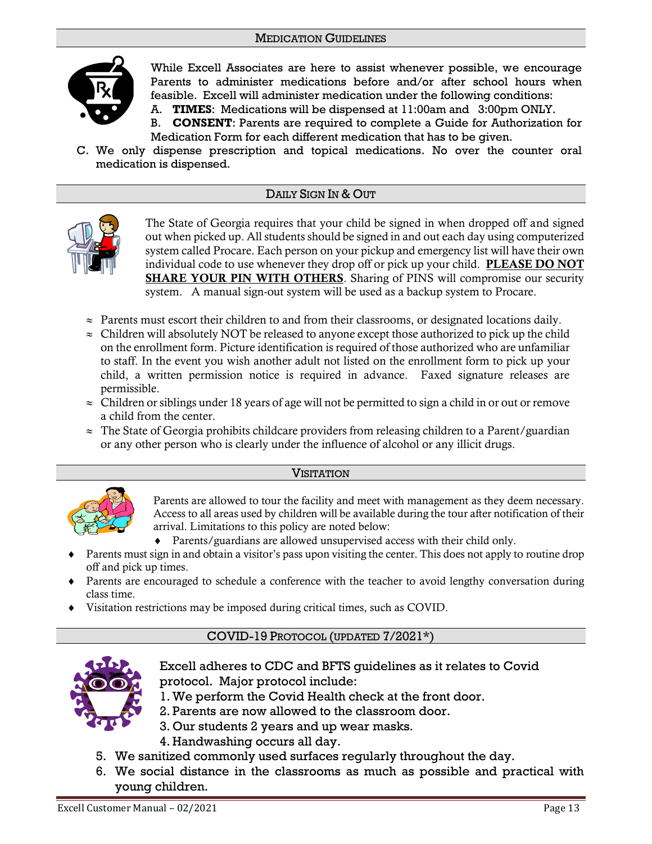# MEDICATION GUIDELINES



While Excell Associates are here to assist whenever possible, we encourage Parents to administer medications before and/or after school hours when feasible. Excell will administer medication under the following conditions:

A. **TIMES**: Medications will be dispensed at 11:00am and 3:00pm ONLY.

- B. **CONSENT**: Parents are required to complete a Guide for Authorization for Medication Form for each different medication that has to be given.
- C. We only dispense prescription and topical medications. No over the counter oral medication is dispensed.

# DAILY SIGN IN & OUT



The State of Georgia requires that your child be signed in when dropped off and signed out when picked up. All students should be signed in and out each day using computerized system called Procare. Each person on your pickup and emergency list will have their own individual code to use whenever they drop off or pick up your child. PLEASE DO NOT SHARE YOUR PIN WITH OTHERS. Sharing of PINS will compromise our security system. A manual sign-out system will be used as a backup system to Procare.

- $\approx$  Parents must escort their children to and from their classrooms, or designated locations daily.
- $\approx$  Children will absolutely NOT be released to anyone except those authorized to pick up the child on the enrollment form. Picture identification is required of those authorized who are unfamiliar to staff. In the event you wish another adult not listed on the enrollment form to pick up your child, a written permission notice is required in advance. Faxed signature releases are permissible.
- $\approx$  Children or siblings under 18 years of age will not be permitted to sign a child in or out or remove a child from the center.
- $\approx$  The State of Georgia prohibits childcare providers from releasing children to a Parent/guardian or any other person who is clearly under the influence of alcohol or any illicit drugs.





Parents are allowed to tour the facility and meet with management as they deem necessary. Access to all areas used by children will be available during the tour after notification of their arrival. Limitations to this policy are noted below:

- Parents/guardians are allowed unsupervised access with their child only.
- Parents must sign in and obtain a visitor's pass upon visiting the center. This does not apply to routine drop off and pick up times.
- Parents are encouraged to schedule a conference with the teacher to avoid lengthy conversation during class time.
- Visitation restrictions may be imposed during critical times, such as COVID.

# COVID-19 PROTOCOL (UPDATED 7/2021\*)



Excell adheres to CDC and BFTS guidelines as it relates to Covid protocol. Major protocol include:

- 1. We perform the Covid Health check at the front door.
- 2. Parents are now allowed to the classroom door.
- 3. Our students 2 years and up wear masks.
- 4. Handwashing occurs all day.
- 5. We sanitized commonly used surfaces regularly throughout the day.
- 6. We social distance in the classrooms as much as possible and practical with young children.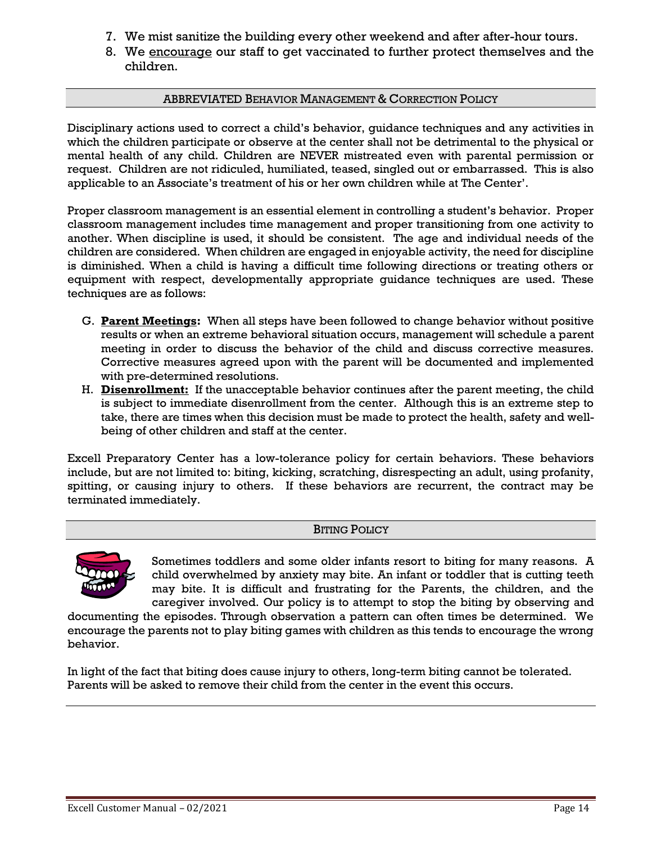- 7. We mist sanitize the building every other weekend and after after-hour tours.
- 8. We encourage our staff to get vaccinated to further protect themselves and the children.

# ABBREVIATED BEHAVIOR MANAGEMENT & CORRECTION POLICY

Disciplinary actions used to correct a child's behavior, guidance techniques and any activities in which the children participate or observe at the center shall not be detrimental to the physical or mental health of any child. Children are NEVER mistreated even with parental permission or request. Children are not ridiculed, humiliated, teased, singled out or embarrassed. This is also applicable to an Associate's treatment of his or her own children while at The Center'.

Proper classroom management is an essential element in controlling a student's behavior. Proper classroom management includes time management and proper transitioning from one activity to another. When discipline is used, it should be consistent. The age and individual needs of the children are considered. When children are engaged in enjoyable activity, the need for discipline is diminished. When a child is having a difficult time following directions or treating others or equipment with respect, developmentally appropriate guidance techniques are used. These techniques are as follows:

- G. **Parent Meetings:** When all steps have been followed to change behavior without positive results or when an extreme behavioral situation occurs, management will schedule a parent meeting in order to discuss the behavior of the child and discuss corrective measures. Corrective measures agreed upon with the parent will be documented and implemented with pre-determined resolutions.
- H. **Disenrollment:** If the unacceptable behavior continues after the parent meeting, the child is subject to immediate disenrollment from the center. Although this is an extreme step to take, there are times when this decision must be made to protect the health, safety and wellbeing of other children and staff at the center.

Excell Preparatory Center has a low-tolerance policy for certain behaviors. These behaviors include, but are not limited to: biting, kicking, scratching, disrespecting an adult, using profanity, spitting, or causing injury to others. If these behaviors are recurrent, the contract may be terminated immediately.

# BITING POLICY



Sometimes toddlers and some older infants resort to biting for many reasons. A child overwhelmed by anxiety may bite. An infant or toddler that is cutting teeth may bite. It is difficult and frustrating for the Parents, the children, and the caregiver involved. Our policy is to attempt to stop the biting by observing and

documenting the episodes. Through observation a pattern can often times be determined. We encourage the parents not to play biting games with children as this tends to encourage the wrong behavior.

In light of the fact that biting does cause injury to others, long-term biting cannot be tolerated. Parents will be asked to remove their child from the center in the event this occurs.